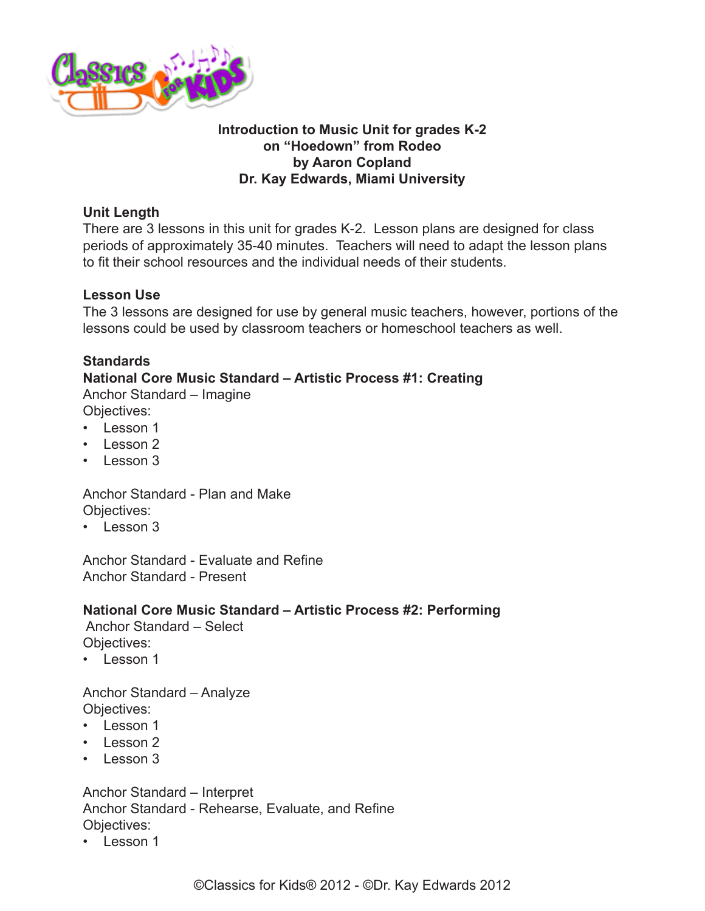

### **Introduction to Music Unit for grades K-2 on "Hoedown" from Rodeo by Aaron Copland Dr. Kay Edwards, Miami University**

### **Unit Length**

There are 3 lessons in this unit for grades K-2. Lesson plans are designed for class periods of approximately 35-40 minutes. Teachers will need to adapt the lesson plans to fit their school resources and the individual needs of their students.

### **Lesson Use**

The 3 lessons are designed for use by general music teachers, however, portions of the lessons could be used by classroom teachers or homeschool teachers as well.

# **Standards**

**National Core Music Standard – Artistic Process #1: Creating**

Anchor Standard – Imagine Objectives:

- Lesson 1
- $\cdot$  Lesson 2
- Lesson 3

Anchor Standard - Plan and Make Objectives:

 $\cdot$  Lesson 3

Anchor Standard - Evaluate and Refine Anchor Standard - Present

# **National Core Music Standard – Artistic Process #2: Performing**

 Anchor Standard – Select Objectives:

• Lesson 1

Anchor Standard – Analyze Objectives:

- Lesson 1
- Lesson 2
- Lesson 3

Anchor Standard – Interpret Anchor Standard - Rehearse, Evaluate, and Refine Objectives:

• Lesson 1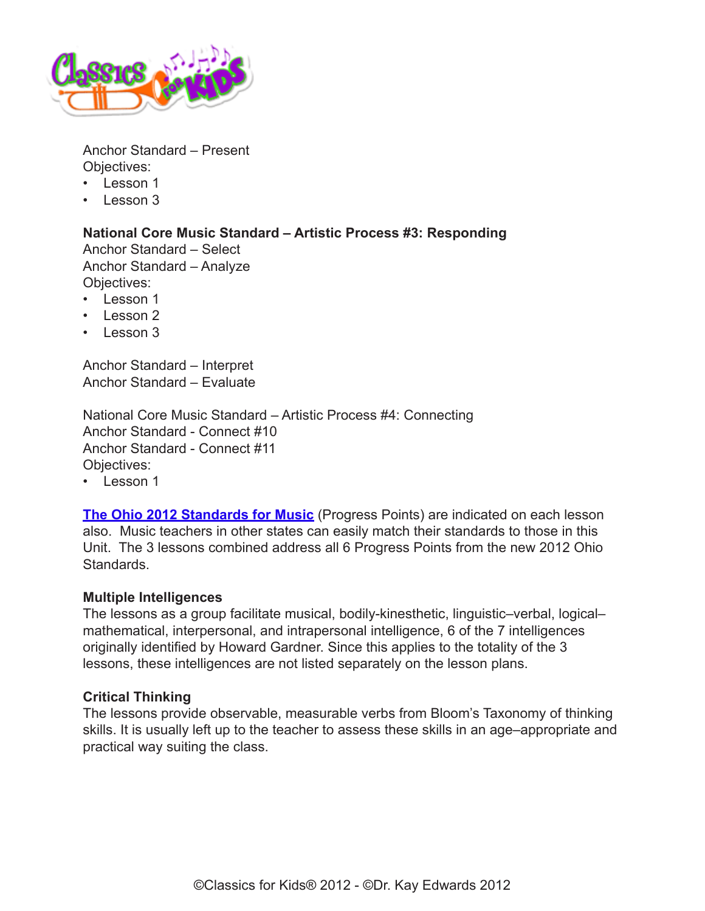

Anchor Standard – Present Objectives:

- Lesson 1
- Lesson 3

# **National Core Music Standard – Artistic Process #3: Responding**

Anchor Standard – Select Anchor Standard – Analyze Objectives:

- Lesson 1
- Lesson 2
- Lesson 3

Anchor Standard – Interpret Anchor Standard – Evaluate

National Core Music Standard – Artistic Process #4: Connecting Anchor Standard - Connect #10 Anchor Standard - Connect #11 Objectives:

• Lesson 1

**[The Ohio 2012 Standards for Music](http://www.ode.state.oh.us/GD/Templates/Pages/ODE/ODEdetail.aspx?Page=3&TopicRelationID=1700&ContentID=98202&Content=128770)** (Progress Points) are indicated on each lesson also. Music teachers in other states can easily match their standards to those in this Unit. The 3 lessons combined address all 6 Progress Points from the new 2012 Ohio Standards.

### **Multiple Intelligences**

The lessons as a group facilitate musical, bodily-kinesthetic, linguistic–verbal, logical– mathematical, interpersonal, and intrapersonal intelligence, 6 of the 7 intelligences originally identified by Howard Gardner. Since this applies to the totality of the 3 lessons, these intelligences are not listed separately on the lesson plans.

### **Critical Thinking**

The lessons provide observable, measurable verbs from Bloom's Taxonomy of thinking skills. It is usually left up to the teacher to assess these skills in an age–appropriate and practical way suiting the class.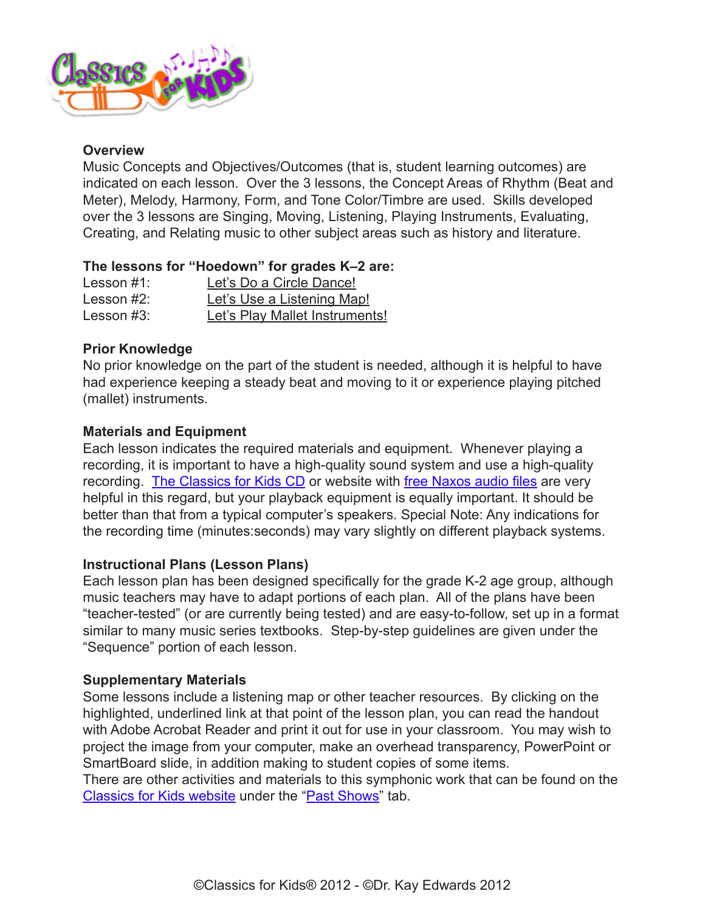

### **Overview**

Music Concepts and Objectives/Outcomes (that is, student learning outcomes) are indicated on each lesson. Over the 3 lessons, the Concept Areas of Rhythm (Beat and Meter), Melody, Harmony, Form, and Tone Color/Timbre are used. Skills developed over the 3 lessons are Singing, Moving, Listening, Playing Instruments, Evaluating, Creating, and Relating music to other subject areas such as history and literature.

#### **The lessons for "Hoedown" for grades K–2 are:**

| Lesson $#1$ : | Let's Do a Circle Dance!       |
|---------------|--------------------------------|
| Lesson $#2$ : | Let's Use a Listening Map!     |
| Lesson $#3$ : | Let's Play Mallet Instruments! |

### **Prior Knowledge**

No prior knowledge on the part of the student is needed, although it is helpful to have had experience keeping a steady beat and moving to it or experience playing pitched (mallet) instruments.

### **Materials and Equipment**

Each lesson indicates the required materials and equipment. Whenever playing a recording, it is important to have a high-quality sound system and use a high-quality recording. [The Classics for Kids CD](https://www.classicsforkids.com/more/cfk_cd.html) or website with [free Naxos audio files](http://www.classicsforkids.com/music/) are very helpful in this regard, but your playback equipment is equally important. It should be better than that from a typical computer's speakers. Special Note: Any indications for the recording time (minutes:seconds) may vary slightly on different playback systems.

### **Instructional Plans (Lesson Plans)**

Each lesson plan has been designed specifically for the grade K-2 age group, although music teachers may have to adapt portions of each plan. All of the plans have been "teacher-tested" (or are currently being tested) and are easy-to-follow, set up in a format similar to many music series textbooks. Step-by-step guidelines are given under the "Sequence" portion of each lesson.

### **Supplementary Materials**

Some lessons include a listening map or other teacher resources. By clicking on the highlighted, underlined link at that point of the lesson plan, you can read the handout with Adobe Acrobat Reader and print it out for use in your classroom. You may wish to project the image from your computer, make an overhead transparency, PowerPoint or SmartBoard slide, in addition making to student copies of some items.

There are other activities and materials to this symphonic work that can be found on the [Classics for Kids website](http://classicsforkids.com/) under the ["Past Shows](http://www.classicsforkids.com/shows/pastshows.php)" tab.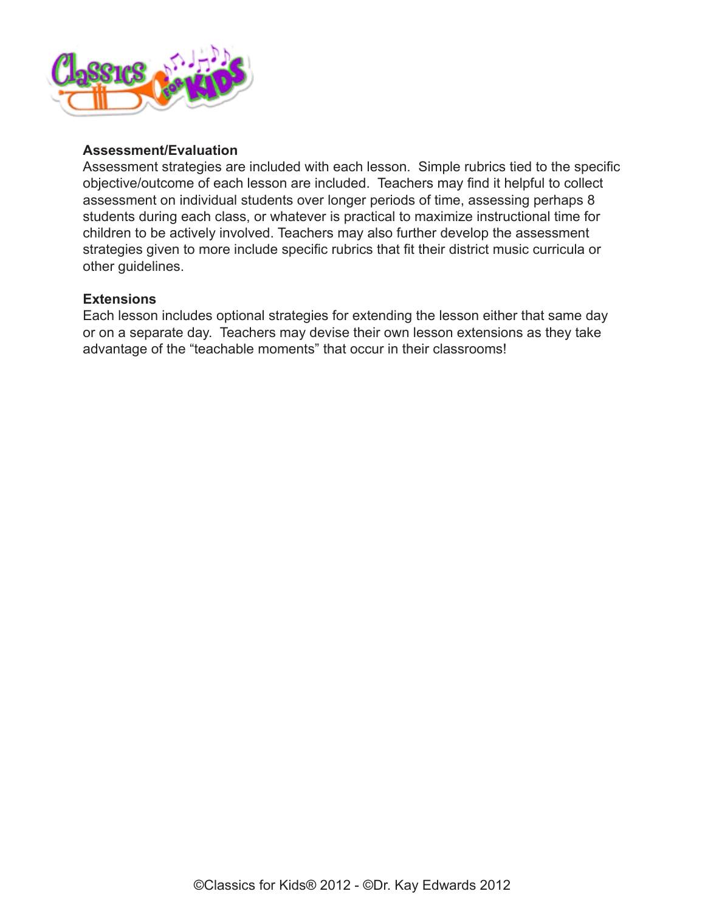

#### **Assessment/Evaluation**

Assessment strategies are included with each lesson. Simple rubrics tied to the specific objective/outcome of each lesson are included. Teachers may find it helpful to collect assessment on individual students over longer periods of time, assessing perhaps 8 students during each class, or whatever is practical to maximize instructional time for children to be actively involved. Teachers may also further develop the assessment strategies given to more include specific rubrics that fit their district music curricula or other guidelines.

#### **Extensions**

Each lesson includes optional strategies for extending the lesson either that same day or on a separate day. Teachers may devise their own lesson extensions as they take advantage of the "teachable moments" that occur in their classrooms!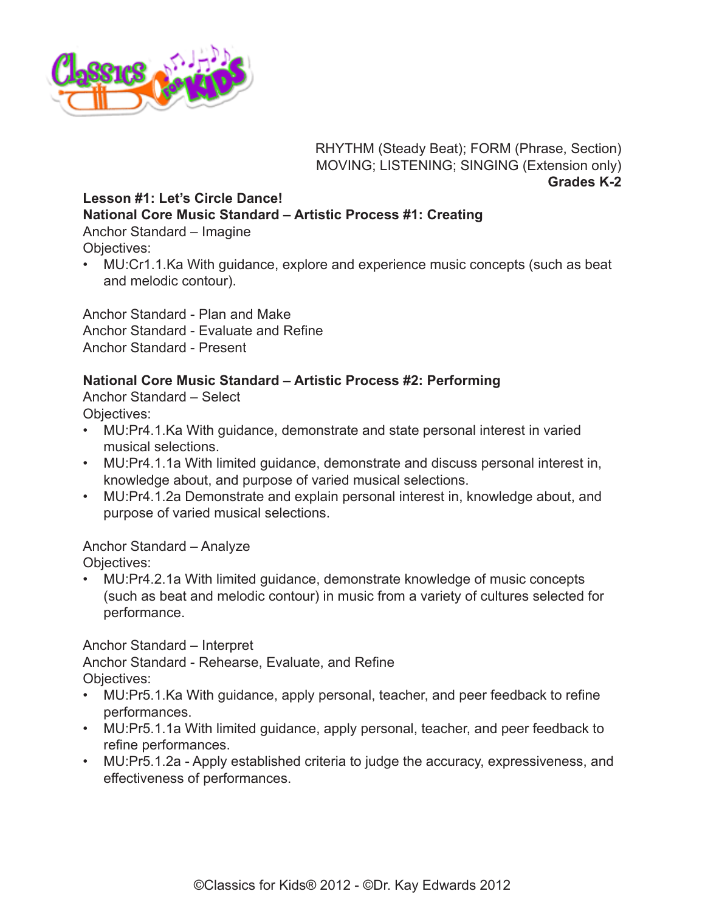

RHYTHM (Steady Beat); FORM (Phrase, Section) MOVING; LISTENING; SINGING (Extension only) **Grades K-2**

# <span id="page-4-0"></span>**Lesson #1: Let's Circle Dance! National Core Music Standard – Artistic Process #1: Creating**

Anchor Standard – Imagine Objectives:

• MU:Cr1.1.Ka With guidance, explore and experience music concepts (such as beat and melodic contour).

Anchor Standard - Plan and Make Anchor Standard - Evaluate and Refine Anchor Standard - Present

# **National Core Music Standard – Artistic Process #2: Performing**

Anchor Standard – Select Objectives:

- MU:Pr4.1.Ka With guidance, demonstrate and state personal interest in varied musical selections.
- MU:Pr4.1.1a With limited guidance, demonstrate and discuss personal interest in, knowledge about, and purpose of varied musical selections.
- MU:Pr4.1.2a Demonstrate and explain personal interest in, knowledge about, and purpose of varied musical selections.

# Anchor Standard – Analyze

Objectives:

• MU:Pr4.2.1a With limited guidance, demonstrate knowledge of music concepts (such as beat and melodic contour) in music from a variety of cultures selected for performance.

Anchor Standard – Interpret Anchor Standard - Rehearse, Evaluate, and Refine

Objectives:

- MU:Pr5.1.Ka With guidance, apply personal, teacher, and peer feedback to refine performances.
- MU:Pr5.1.1a With limited guidance, apply personal, teacher, and peer feedback to refine performances.
- MU:Pr5.1.2a Apply established criteria to judge the accuracy, expressiveness, and effectiveness of performances.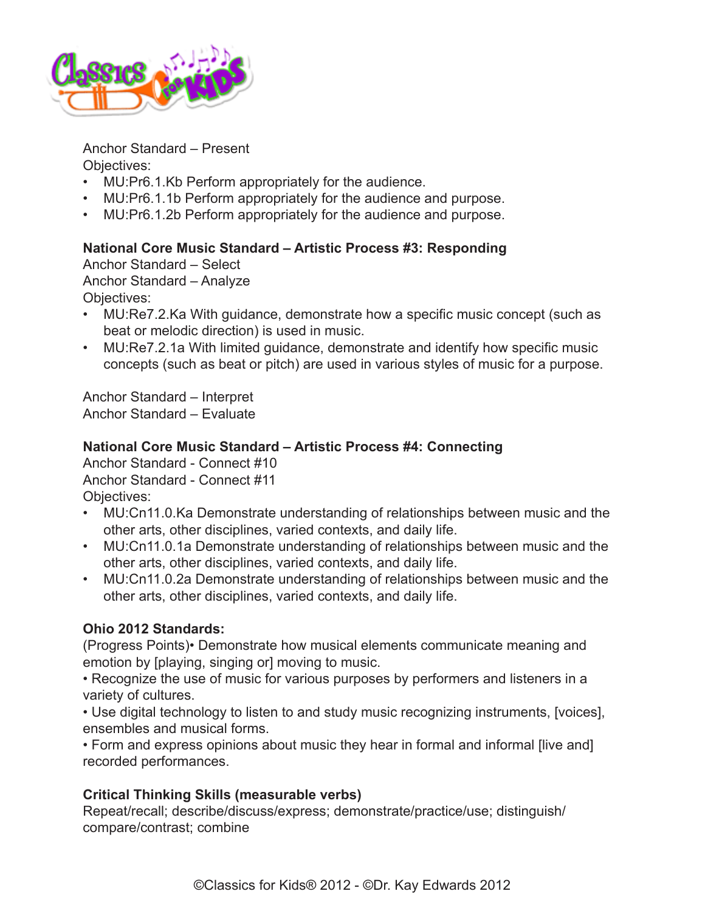

Anchor Standard – Present Objectives:

- MU:Pr6.1.Kb Perform appropriately for the audience.
- MU:Pr6.1.1b Perform appropriately for the audience and purpose.
- MU:Pr6.1.2b Perform appropriately for the audience and purpose.

### **National Core Music Standard – Artistic Process #3: Responding**

Anchor Standard – Select Anchor Standard – Analyze Objectives:

- MU:Re7.2.Ka With guidance, demonstrate how a specific music concept (such as beat or melodic direction) is used in music.
- MU:Re7.2.1a With limited guidance, demonstrate and identify how specific music concepts (such as beat or pitch) are used in various styles of music for a purpose.

Anchor Standard – Interpret Anchor Standard – Evaluate

### **National Core Music Standard – Artistic Process #4: Connecting**

Anchor Standard - Connect #10 Anchor Standard - Connect #11 Objectives:

- MU:Cn11.0.Ka Demonstrate understanding of relationships between music and the other arts, other disciplines, varied contexts, and daily life.
- MU:Cn11.0.1a Demonstrate understanding of relationships between music and the other arts, other disciplines, varied contexts, and daily life.
- MU:Cn11.0.2a Demonstrate understanding of relationships between music and the other arts, other disciplines, varied contexts, and daily life.

# **Ohio 2012 Standards:**

(Progress Points)• Demonstrate how musical elements communicate meaning and emotion by [playing, singing or] moving to music.

• Recognize the use of music for various purposes by performers and listeners in a variety of cultures.

• Use digital technology to listen to and study music recognizing instruments, [voices], ensembles and musical forms.

• Form and express opinions about music they hear in formal and informal [live and] recorded performances.

# **Critical Thinking Skills (measurable verbs)**

Repeat/recall; describe/discuss/express; demonstrate/practice/use; distinguish/ compare/contrast; combine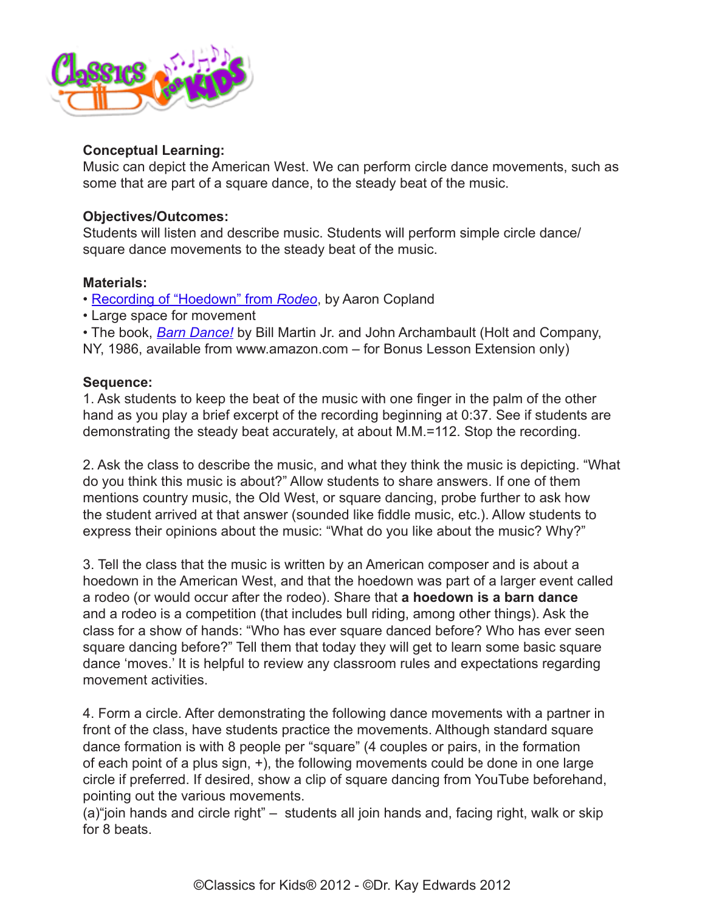

### **Conceptual Learning:**

Music can depict the American West. We can perform circle dance movements, such as some that are part of a square dance, to the steady beat of the music.

### **Objectives/Outcomes:**

Students will listen and describe music. Students will perform simple circle dance/ square dance movements to the steady beat of the music.

### **Materials:**

- [Recording of "Hoedown" from](http://www.classicsforkids.com/music/hearthemusic.php?id=1) *Rodeo*, by Aaron Copland
- Large space for movement

• The book, *[Barn Dance!](http://www.amazon.com/Barn-Dance-Reading-Rainbow-Martin/dp/0805007997/ref=sr_1_1?ie=UTF8&qid=1381155477&sr=8-1&keywords=Barn+Dance%21+by+Bill+Martin+Jr.)* by Bill Martin Jr. and John Archambault (Holt and Company,

NY, 1986, available from www.amazon.com – for Bonus Lesson Extension only)

### **Sequence:**

1. Ask students to keep the beat of the music with one finger in the palm of the other hand as you play a brief excerpt of the recording beginning at 0:37. See if students are demonstrating the steady beat accurately, at about M.M.=112. Stop the recording.

2. Ask the class to describe the music, and what they think the music is depicting. "What do you think this music is about?" Allow students to share answers. If one of them mentions country music, the Old West, or square dancing, probe further to ask how the student arrived at that answer (sounded like fiddle music, etc.). Allow students to express their opinions about the music: "What do you like about the music? Why?"

3. Tell the class that the music is written by an American composer and is about a hoedown in the American West, and that the hoedown was part of a larger event called a rodeo (or would occur after the rodeo). Share that **a hoedown is a barn dance** and a rodeo is a competition (that includes bull riding, among other things). Ask the class for a show of hands: "Who has ever square danced before? Who has ever seen square dancing before?" Tell them that today they will get to learn some basic square dance 'moves.' It is helpful to review any classroom rules and expectations regarding movement activities.

4. Form a circle. After demonstrating the following dance movements with a partner in front of the class, have students practice the movements. Although standard square dance formation is with 8 people per "square" (4 couples or pairs, in the formation of each point of a plus sign, +), the following movements could be done in one large circle if preferred. If desired, show a clip of square dancing from YouTube beforehand, pointing out the various movements.

(a)"join hands and circle right" – students all join hands and, facing right, walk or skip for 8 beats.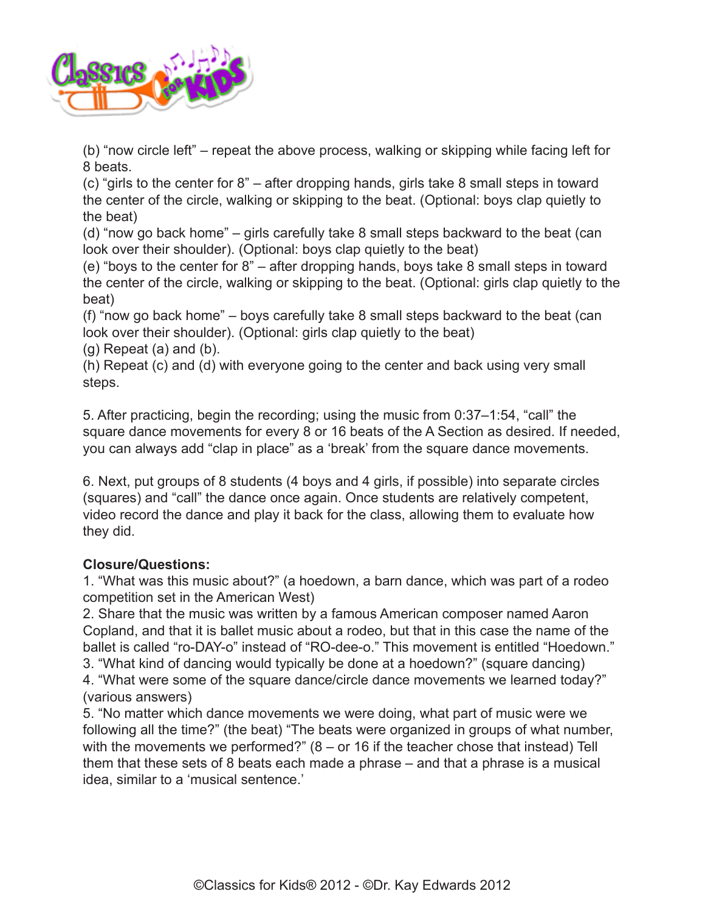

(b) "now circle left" – repeat the above process, walking or skipping while facing left for 8 beats.

(c) "girls to the center for 8" – after dropping hands, girls take 8 small steps in toward the center of the circle, walking or skipping to the beat. (Optional: boys clap quietly to the beat)

(d) "now go back home" – girls carefully take 8 small steps backward to the beat (can look over their shoulder). (Optional: boys clap quietly to the beat)

(e) "boys to the center for 8" – after dropping hands, boys take 8 small steps in toward the center of the circle, walking or skipping to the beat. (Optional: girls clap quietly to the beat)

(f) "now go back home" – boys carefully take 8 small steps backward to the beat (can look over their shoulder). (Optional: girls clap quietly to the beat)

 $(g)$  Repeat  $(a)$  and  $(b)$ .

(h) Repeat (c) and (d) with everyone going to the center and back using very small steps.

5. After practicing, begin the recording; using the music from 0:37–1:54, "call" the square dance movements for every 8 or 16 beats of the A Section as desired. If needed, you can always add "clap in place" as a 'break' from the square dance movements.

6. Next, put groups of 8 students (4 boys and 4 girls, if possible) into separate circles (squares) and "call" the dance once again. Once students are relatively competent, video record the dance and play it back for the class, allowing them to evaluate how they did.

# **Closure/Questions:**

1. "What was this music about?" (a hoedown, a barn dance, which was part of a rodeo competition set in the American West)

2. Share that the music was written by a famous American composer named Aaron Copland, and that it is ballet music about a rodeo, but that in this case the name of the ballet is called "ro-DAY-o" instead of "RO-dee-o." This movement is entitled "Hoedown." 3. "What kind of dancing would typically be done at a hoedown?" (square dancing)

4. "What were some of the square dance/circle dance movements we learned today?" (various answers)

5. "No matter which dance movements we were doing, what part of music were we following all the time?" (the beat) "The beats were organized in groups of what number, with the movements we performed?" (8 – or 16 if the teacher chose that instead) Tell them that these sets of 8 beats each made a phrase – and that a phrase is a musical idea, similar to a 'musical sentence.'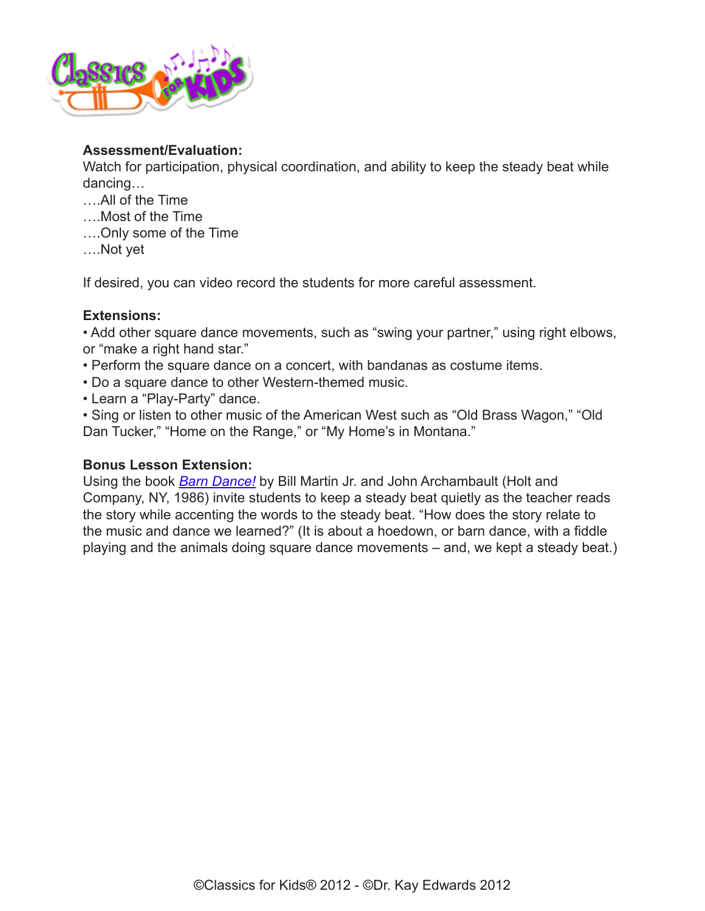

#### **Assessment/Evaluation:**

Watch for participation, physical coordination, and ability to keep the steady beat while dancing…

- ….All of the Time
- ….Most of the Time
- ….Only some of the Time
- ….Not yet

If desired, you can video record the students for more careful assessment.

#### **Extensions:**

• Add other square dance movements, such as "swing your partner," using right elbows, or "make a right hand star."

- Perform the square dance on a concert, with bandanas as costume items.
- Do a square dance to other Western-themed music.
- Learn a "Play-Party" dance.

• Sing or listen to other music of the American West such as "Old Brass Wagon," "Old Dan Tucker," "Home on the Range," or "My Home's in Montana."

### **Bonus Lesson Extension:**

Using the book *[Barn Dance!](http://www.amazon.com/Barn-Dance-Reading-Rainbow-Martin/dp/0805007997/ref=sr_1_1?ie=UTF8&qid=1381155477&sr=8-1&keywords=Barn+Dance%21+by+Bill+Martin+Jr.)* by Bill Martin Jr. and John Archambault (Holt and Company, NY, 1986) invite students to keep a steady beat quietly as the teacher reads the story while accenting the words to the steady beat. "How does the story relate to the music and dance we learned?" (It is about a hoedown, or barn dance, with a fiddle playing and the animals doing square dance movements – and, we kept a steady beat.)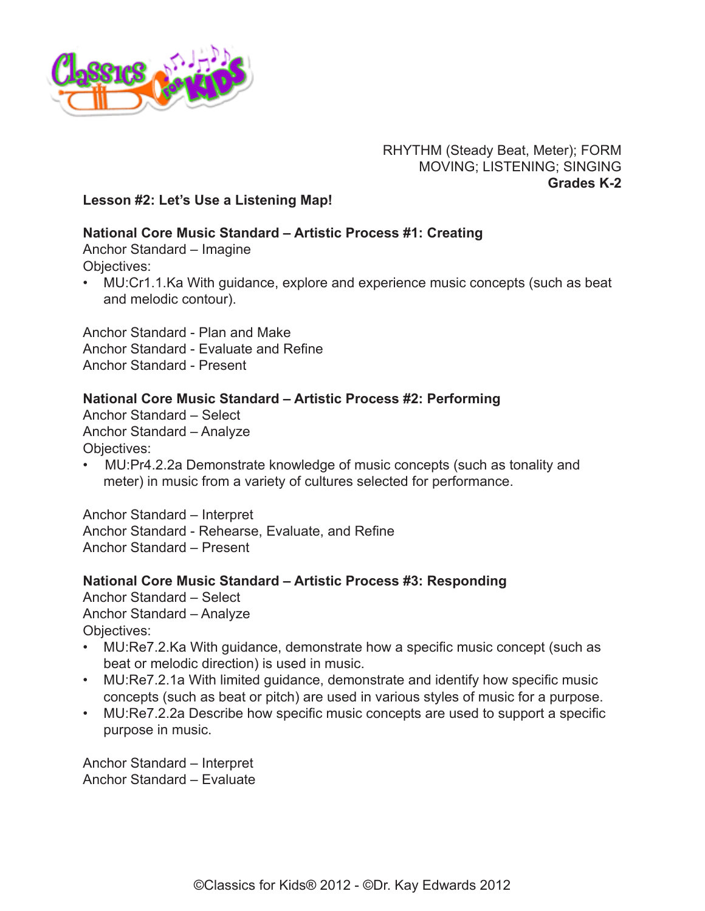

### RHYTHM (Steady Beat, Meter); FORM MOVING; LISTENING; SINGING **Grades K-2**

### <span id="page-9-0"></span>**Lesson #2: Let's Use a Listening Map!**

### **National Core Music Standard – Artistic Process #1: Creating**

Anchor Standard – Imagine Objectives:

• MU:Cr1.1.Ka With guidance, explore and experience music concepts (such as beat and melodic contour).

Anchor Standard - Plan and Make Anchor Standard - Evaluate and Refine Anchor Standard - Present

### **National Core Music Standard – Artistic Process #2: Performing**

Anchor Standard – Select Anchor Standard – Analyze Objectives:

• MU:Pr4.2.2a Demonstrate knowledge of music concepts (such as tonality and meter) in music from a variety of cultures selected for performance.

Anchor Standard – Interpret Anchor Standard - Rehearse, Evaluate, and Refine Anchor Standard – Present

### **National Core Music Standard – Artistic Process #3: Responding**

Anchor Standard – Select Anchor Standard – Analyze Objectives:

- MU:Re7.2.Ka With guidance, demonstrate how a specific music concept (such as beat or melodic direction) is used in music.
- MU:Re7.2.1a With limited guidance, demonstrate and identify how specific music concepts (such as beat or pitch) are used in various styles of music for a purpose.
- MU:Re7.2.2a Describe how specific music concepts are used to support a specific purpose in music.

Anchor Standard – Interpret Anchor Standard – Evaluate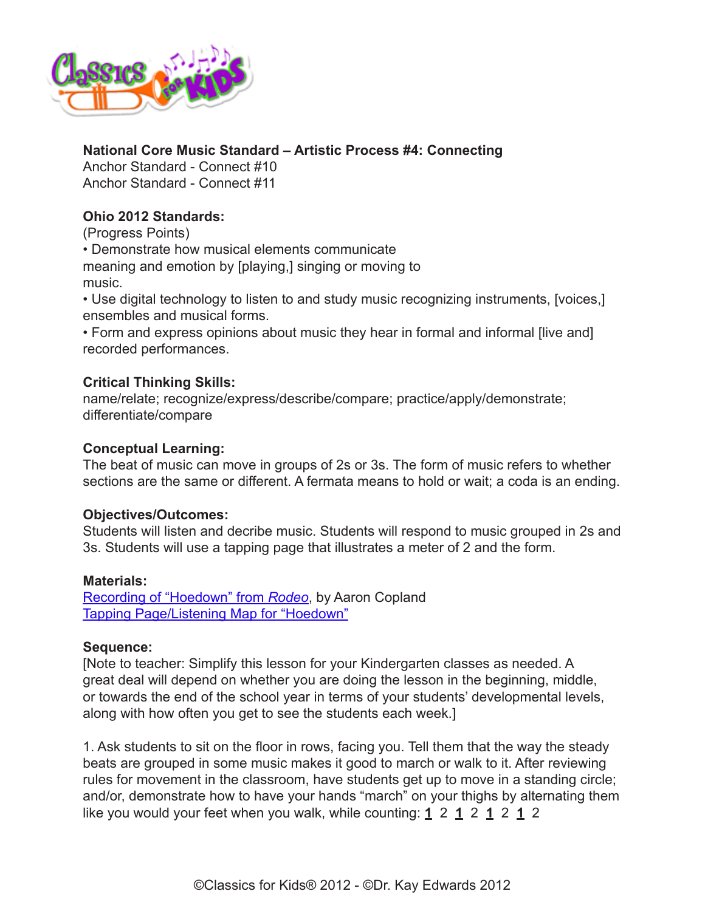

# **National Core Music Standard – Artistic Process #4: Connecting**

Anchor Standard - Connect #10 Anchor Standard - Connect #11

# **Ohio 2012 Standards:**

(Progress Points)

• Demonstrate how musical elements communicate

meaning and emotion by [playing,] singing or moving to music.

• Use digital technology to listen to and study music recognizing instruments, [voices,] ensembles and musical forms.

• Form and express opinions about music they hear in formal and informal [live and] recorded performances.

# **Critical Thinking Skills:**

name/relate; recognize/express/describe/compare; practice/apply/demonstrate; differentiate/compare

### **Conceptual Learning:**

The beat of music can move in groups of 2s or 3s. The form of music refers to whether sections are the same or different. A fermata means to hold or wait; a coda is an ending.

# **Objectives/Outcomes:**

Students will listen and decribe music. Students will respond to music grouped in 2s and 3s. Students will use a tapping page that illustrates a meter of 2 and the form.

### **Materials:**

[Recording of "Hoedown" from](http://www.classicsforkids.com/music/hearthemusic.php?id=1) *Rodeo*, by Aaron Copland [Tapping Page/Listening Map for "Hoedown"](http://www.classicsforkids.com/downloads/copland/Hoedown_Tapping_Page%20K%E2%80%932.pdf)

### **Sequence:**

[Note to teacher: Simplify this lesson for your Kindergarten classes as needed. A great deal will depend on whether you are doing the lesson in the beginning, middle, or towards the end of the school year in terms of your students' developmental levels, along with how often you get to see the students each week.]

1. Ask students to sit on the floor in rows, facing you. Tell them that the way the steady beats are grouped in some music makes it good to march or walk to it. After reviewing rules for movement in the classroom, have students get up to move in a standing circle; and/or, demonstrate how to have your hands "march" on your thighs by alternating them like you would your feet when you walk, while counting: **1** 2 **1** 2 **1** 2 **1** 2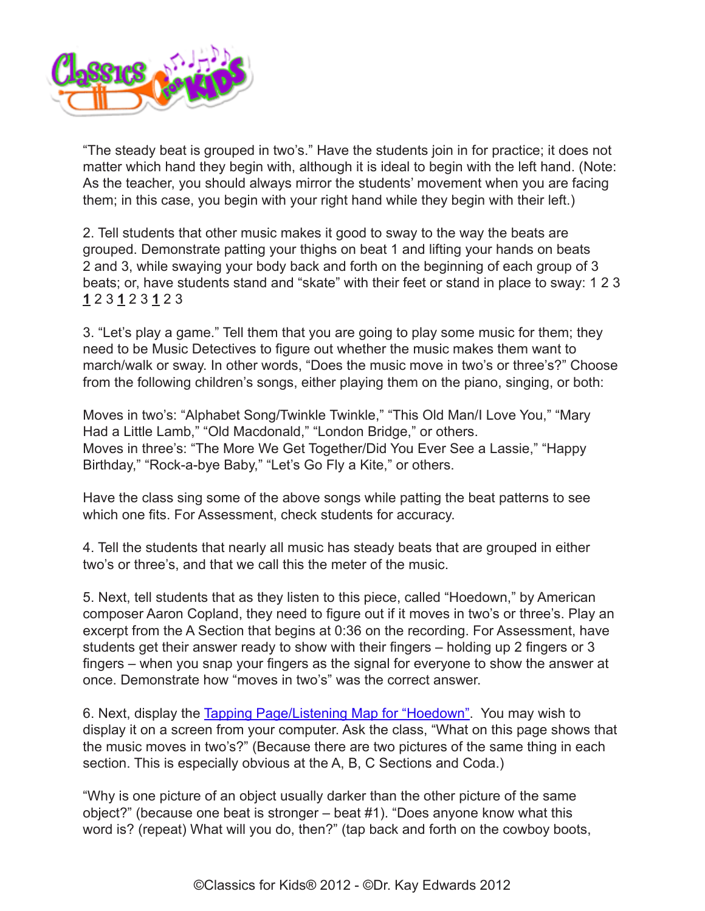

"The steady beat is grouped in two's." Have the students join in for practice; it does not matter which hand they begin with, although it is ideal to begin with the left hand. (Note: As the teacher, you should always mirror the students' movement when you are facing them; in this case, you begin with your right hand while they begin with their left.)

2. Tell students that other music makes it good to sway to the way the beats are grouped. Demonstrate patting your thighs on beat 1 and lifting your hands on beats 2 and 3, while swaying your body back and forth on the beginning of each group of 3 beats; or, have students stand and "skate" with their feet or stand in place to sway: 1 2 3 **1** 2 3 **1** 2 3 **1** 2 3

3. "Let's play a game." Tell them that you are going to play some music for them; they need to be Music Detectives to figure out whether the music makes them want to march/walk or sway. In other words, "Does the music move in two's or three's?" Choose from the following children's songs, either playing them on the piano, singing, or both:

Moves in two's: "Alphabet Song/Twinkle Twinkle," "This Old Man/I Love You," "Mary Had a Little Lamb," "Old Macdonald," "London Bridge," or others. Moves in three's: "The More We Get Together/Did You Ever See a Lassie," "Happy Birthday," "Rock-a-bye Baby," "Let's Go Fly a Kite," or others.

Have the class sing some of the above songs while patting the beat patterns to see which one fits. For Assessment, check students for accuracy.

4. Tell the students that nearly all music has steady beats that are grouped in either two's or three's, and that we call this the meter of the music.

5. Next, tell students that as they listen to this piece, called "Hoedown," by American composer Aaron Copland, they need to figure out if it moves in two's or three's. Play an excerpt from the A Section that begins at 0:36 on the recording. For Assessment, have students get their answer ready to show with their fingers – holding up 2 fingers or 3 fingers – when you snap your fingers as the signal for everyone to show the answer at once. Demonstrate how "moves in two's" was the correct answer.

6. Next, display the [Tapping Page/Listening Map for "Hoedown".](http://www.classicsforkids.com/downloads/copland/Hoedown_Tapping_Page%20K%E2%80%932.pdf) You may wish to display it on a screen from your computer. Ask the class, "What on this page shows that the music moves in two's?" (Because there are two pictures of the same thing in each section. This is especially obvious at the A, B, C Sections and Coda.)

"Why is one picture of an object usually darker than the other picture of the same object?" (because one beat is stronger – beat #1). "Does anyone know what this word is? (repeat) What will you do, then?" (tap back and forth on the cowboy boots,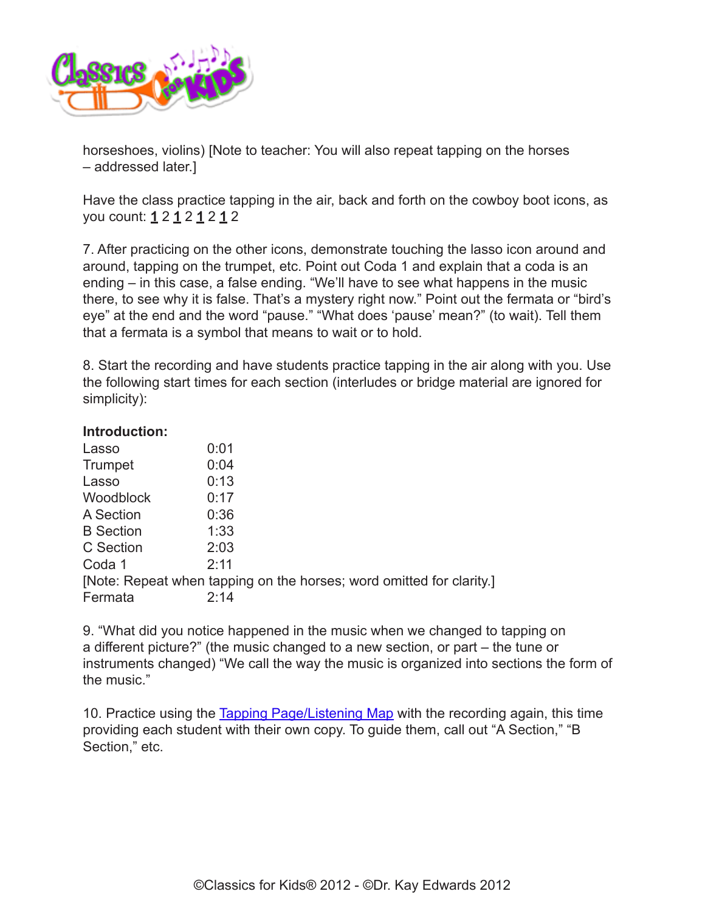

horseshoes, violins) [Note to teacher: You will also repeat tapping on the horses – addressed later.]

Have the class practice tapping in the air, back and forth on the cowboy boot icons, as you count: **1** 2 **1** 2 **1** 2 **1** 2

7. After practicing on the other icons, demonstrate touching the lasso icon around and around, tapping on the trumpet, etc. Point out Coda 1 and explain that a coda is an ending – in this case, a false ending. "We'll have to see what happens in the music there, to see why it is false. That's a mystery right now." Point out the fermata or "bird's eye" at the end and the word "pause." "What does 'pause' mean?" (to wait). Tell them that a fermata is a symbol that means to wait or to hold.

8. Start the recording and have students practice tapping in the air along with you. Use the following start times for each section (interludes or bridge material are ignored for simplicity):

#### **Introduction:**

| Lasso            | 0:01                                                                 |
|------------------|----------------------------------------------------------------------|
| Trumpet          | 0:04                                                                 |
| Lasso            | 0:13                                                                 |
| <b>Woodblock</b> | 0:17                                                                 |
| A Section        | 0:36                                                                 |
| <b>B</b> Section | 1:33                                                                 |
| C Section        | 2:03                                                                 |
| Coda 1           | 2:11                                                                 |
|                  | [Note: Repeat when tapping on the horses; word omitted for clarity.] |
| Fermata          | 2:14                                                                 |
|                  |                                                                      |

9. "What did you notice happened in the music when we changed to tapping on a different picture?" (the music changed to a new section, or part – the tune or instruments changed) "We call the way the music is organized into sections the form of the music."

10. Practice using the [Tapping Page/Listening Map](http://www.classicsforkids.com/downloads/copland/Hoedown_Tapping_Page%20K%E2%80%932.pdf) with the recording again, this time providing each student with their own copy. To guide them, call out "A Section," "B Section," etc.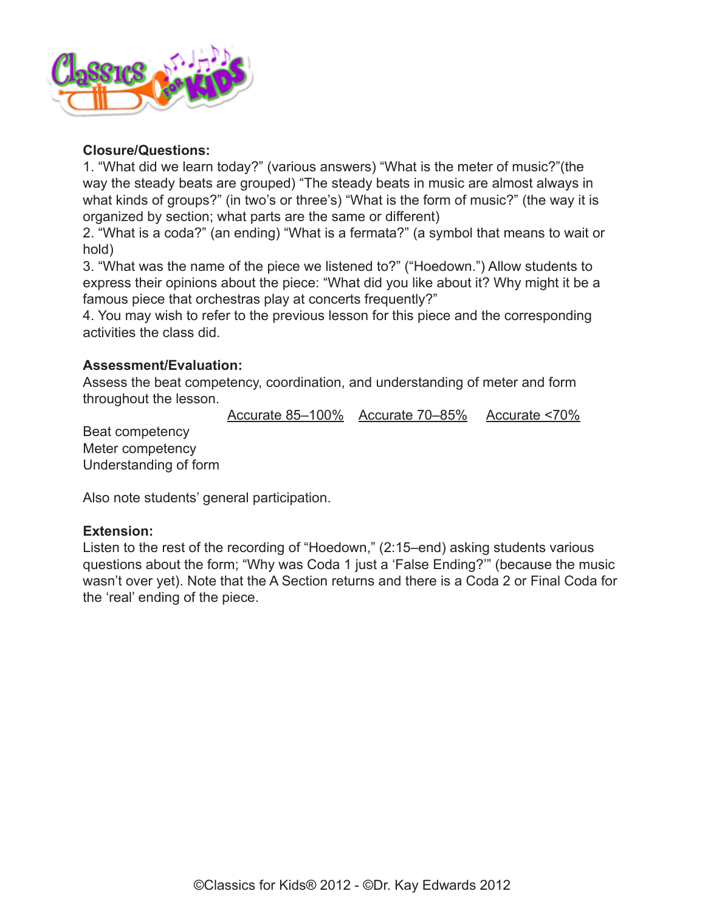

### **Closure/Questions:**

1. "What did we learn today?" (various answers) "What is the meter of music?"(the way the steady beats are grouped) "The steady beats in music are almost always in what kinds of groups?" (in two's or three's) "What is the form of music?" (the way it is organized by section; what parts are the same or different)

2. "What is a coda?" (an ending) "What is a fermata?" (a symbol that means to wait or hold)

3. "What was the name of the piece we listened to?" ("Hoedown.") Allow students to express their opinions about the piece: "What did you like about it? Why might it be a famous piece that orchestras play at concerts frequently?"

4. You may wish to refer to the previous lesson for this piece and the corresponding activities the class did.

### **Assessment/Evaluation:**

Assess the beat competency, coordination, and understanding of meter and form throughout the lesson.

Accurate 85–100% Accurate 70–85% Accurate <70%

Beat competency Meter competency Understanding of form

Also note students' general participation.

### **Extension:**

Listen to the rest of the recording of "Hoedown," (2:15–end) asking students various questions about the form; "Why was Coda 1 just a 'False Ending?'" (because the music wasn't over yet). Note that the A Section returns and there is a Coda 2 or Final Coda for the 'real' ending of the piece.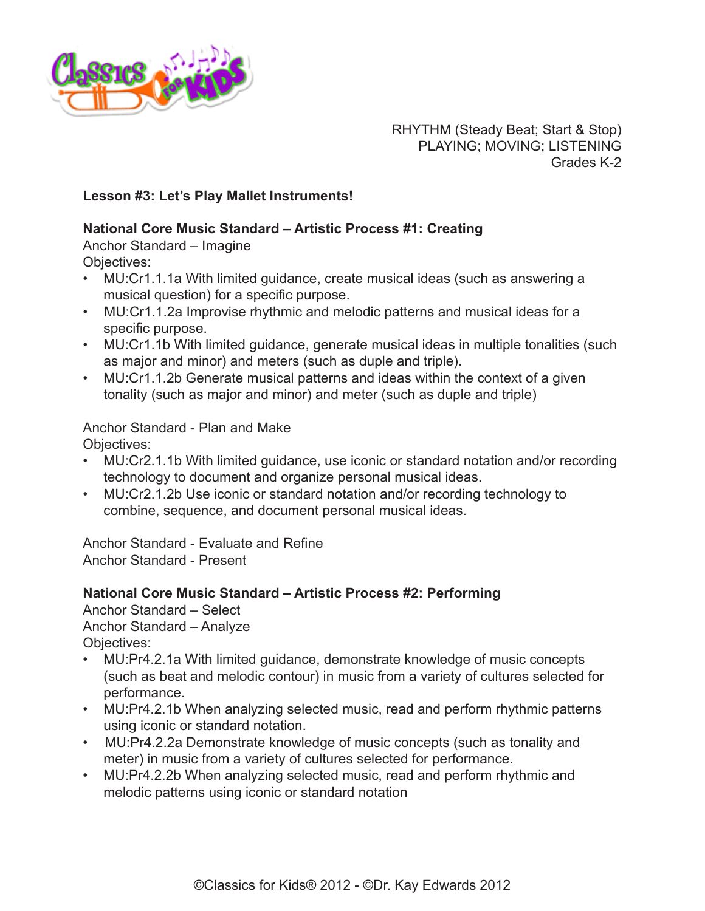

RHYTHM (Steady Beat; Start & Stop) PLAYING; MOVING; LISTENING Grades K-2

### <span id="page-14-0"></span>**Lesson #3: Let's Play Mallet Instruments!**

### **National Core Music Standard – Artistic Process #1: Creating**

Anchor Standard – Imagine

- Objectives:
- MU:Cr1.1.1a With limited guidance, create musical ideas (such as answering a musical question) for a specific purpose.
- MU:Cr1.1.2a Improvise rhythmic and melodic patterns and musical ideas for a specific purpose.
- MU:Cr1.1b With limited guidance, generate musical ideas in multiple tonalities (such as major and minor) and meters (such as duple and triple).
- MU:Cr1.1.2b Generate musical patterns and ideas within the context of a given tonality (such as major and minor) and meter (such as duple and triple)

Anchor Standard - Plan and Make Objectives:

- MU:Cr2.1.1b With limited guidance, use iconic or standard notation and/or recording technology to document and organize personal musical ideas.
- MU:Cr2.1.2b Use iconic or standard notation and/or recording technology to combine, sequence, and document personal musical ideas.

Anchor Standard - Evaluate and Refine Anchor Standard - Present

# **National Core Music Standard – Artistic Process #2: Performing**

Anchor Standard – Select Anchor Standard – Analyze Objectives:

- MU:Pr4.2.1a With limited guidance, demonstrate knowledge of music concepts (such as beat and melodic contour) in music from a variety of cultures selected for performance.
- MU:Pr4.2.1b When analyzing selected music, read and perform rhythmic patterns using iconic or standard notation.
- MU:Pr4.2.2a Demonstrate knowledge of music concepts (such as tonality and meter) in music from a variety of cultures selected for performance.
- MU:Pr4.2.2b When analyzing selected music, read and perform rhythmic and melodic patterns using iconic or standard notation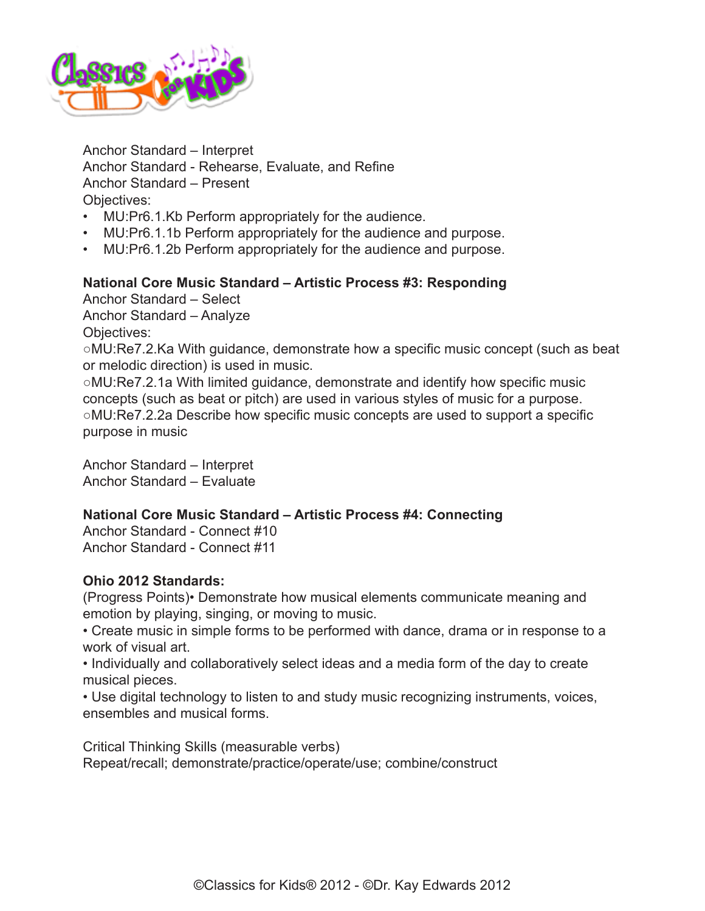

Anchor Standard – Interpret Anchor Standard - Rehearse, Evaluate, and Refine Anchor Standard – Present Objectives:

- MU:Pr6.1.Kb Perform appropriately for the audience.
- MU:Pr6.1.1b Perform appropriately for the audience and purpose.
- MU:Pr6.1.2b Perform appropriately for the audience and purpose.

### **National Core Music Standard – Artistic Process #3: Responding**

Anchor Standard – Select Anchor Standard – Analyze Objectives:

○MU:Re7.2.Ka With guidance, demonstrate how a specific music concept (such as beat or melodic direction) is used in music.

○MU:Re7.2.1a With limited guidance, demonstrate and identify how specific music concepts (such as beat or pitch) are used in various styles of music for a purpose. ○MU:Re7.2.2a Describe how specific music concepts are used to support a specific purpose in music

Anchor Standard – Interpret Anchor Standard – Evaluate

### **National Core Music Standard – Artistic Process #4: Connecting**

Anchor Standard - Connect #10 Anchor Standard - Connect #11

### **Ohio 2012 Standards:**

(Progress Points)• Demonstrate how musical elements communicate meaning and emotion by playing, singing, or moving to music.

• Create music in simple forms to be performed with dance, drama or in response to a work of visual art.

• Individually and collaboratively select ideas and a media form of the day to create musical pieces.

• Use digital technology to listen to and study music recognizing instruments, voices, ensembles and musical forms.

Critical Thinking Skills (measurable verbs) Repeat/recall; demonstrate/practice/operate/use; combine/construct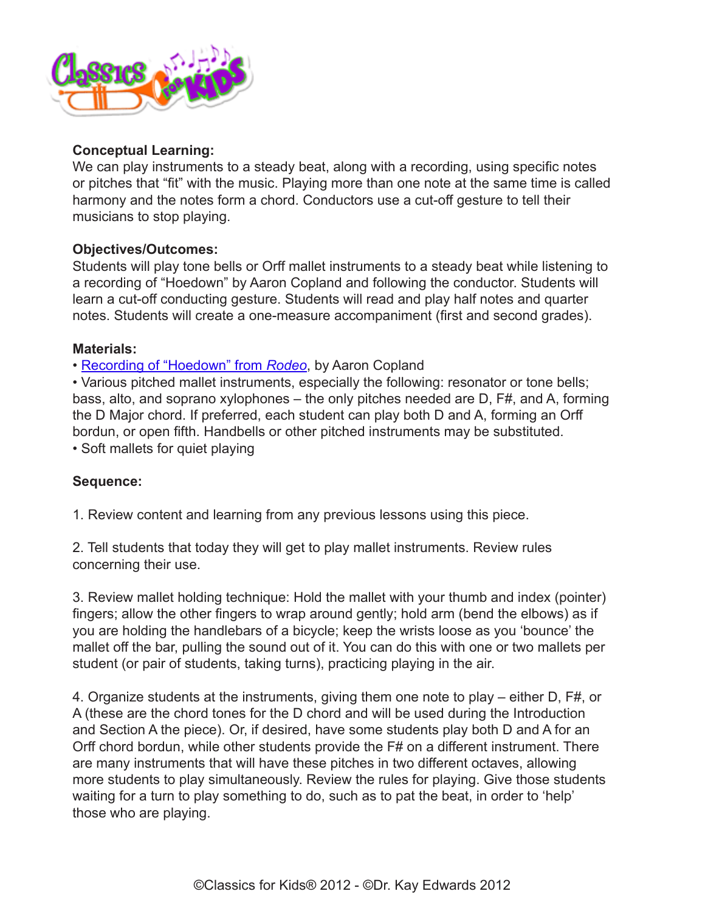

### **Conceptual Learning:**

We can play instruments to a steady beat, along with a recording, using specific notes or pitches that "fit" with the music. Playing more than one note at the same time is called harmony and the notes form a chord. Conductors use a cut-off gesture to tell their musicians to stop playing.

### **Objectives/Outcomes:**

Students will play tone bells or Orff mallet instruments to a steady beat while listening to a recording of "Hoedown" by Aaron Copland and following the conductor. Students will learn a cut-off conducting gesture. Students will read and play half notes and quarter notes. Students will create a one-measure accompaniment (first and second grades).

### **Materials:**

• [Recording of "Hoedown" from](http://www.classicsforkids.com/music/hearthemusic.php?id=1) *Rodeo*, by Aaron Copland

• Various pitched mallet instruments, especially the following: resonator or tone bells; bass, alto, and soprano xylophones – the only pitches needed are D, F#, and A, forming the D Major chord. If preferred, each student can play both D and A, forming an Orff bordun, or open fifth. Handbells or other pitched instruments may be substituted. • Soft mallets for quiet playing

# **Sequence:**

1. Review content and learning from any previous lessons using this piece.

2. Tell students that today they will get to play mallet instruments. Review rules concerning their use.

3. Review mallet holding technique: Hold the mallet with your thumb and index (pointer) fingers; allow the other fingers to wrap around gently; hold arm (bend the elbows) as if you are holding the handlebars of a bicycle; keep the wrists loose as you 'bounce' the mallet off the bar, pulling the sound out of it. You can do this with one or two mallets per student (or pair of students, taking turns), practicing playing in the air.

4. Organize students at the instruments, giving them one note to play – either D, F#, or A (these are the chord tones for the D chord and will be used during the Introduction and Section A the piece). Or, if desired, have some students play both D and A for an Orff chord bordun, while other students provide the F# on a different instrument. There are many instruments that will have these pitches in two different octaves, allowing more students to play simultaneously. Review the rules for playing. Give those students waiting for a turn to play something to do, such as to pat the beat, in order to 'help' those who are playing.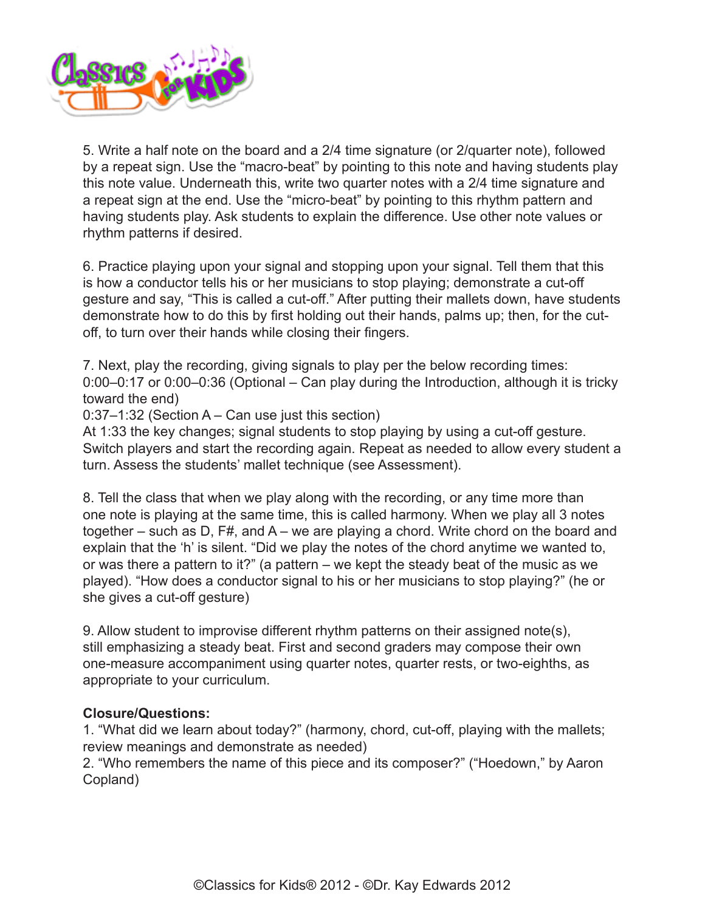

5. Write a half note on the board and a 2/4 time signature (or 2/quarter note), followed by a repeat sign. Use the "macro-beat" by pointing to this note and having students play this note value. Underneath this, write two quarter notes with a 2/4 time signature and a repeat sign at the end. Use the "micro-beat" by pointing to this rhythm pattern and having students play. Ask students to explain the difference. Use other note values or rhythm patterns if desired.

6. Practice playing upon your signal and stopping upon your signal. Tell them that this is how a conductor tells his or her musicians to stop playing; demonstrate a cut-off gesture and say, "This is called a cut-off." After putting their mallets down, have students demonstrate how to do this by first holding out their hands, palms up; then, for the cutoff, to turn over their hands while closing their fingers.

7. Next, play the recording, giving signals to play per the below recording times: 0:00–0:17 or 0:00–0:36 (Optional – Can play during the Introduction, although it is tricky toward the end)

0:37–1:32 (Section A – Can use just this section)

At 1:33 the key changes; signal students to stop playing by using a cut-off gesture. Switch players and start the recording again. Repeat as needed to allow every student a turn. Assess the students' mallet technique (see Assessment).

8. Tell the class that when we play along with the recording, or any time more than one note is playing at the same time, this is called harmony. When we play all 3 notes together – such as D, F#, and A – we are playing a chord. Write chord on the board and explain that the 'h' is silent. "Did we play the notes of the chord anytime we wanted to, or was there a pattern to it?" (a pattern – we kept the steady beat of the music as we played). "How does a conductor signal to his or her musicians to stop playing?" (he or she gives a cut-off gesture)

9. Allow student to improvise different rhythm patterns on their assigned note(s), still emphasizing a steady beat. First and second graders may compose their own one-measure accompaniment using quarter notes, quarter rests, or two-eighths, as appropriate to your curriculum.

### **Closure/Questions:**

1. "What did we learn about today?" (harmony, chord, cut-off, playing with the mallets; review meanings and demonstrate as needed)

2. "Who remembers the name of this piece and its composer?" ("Hoedown," by Aaron Copland)